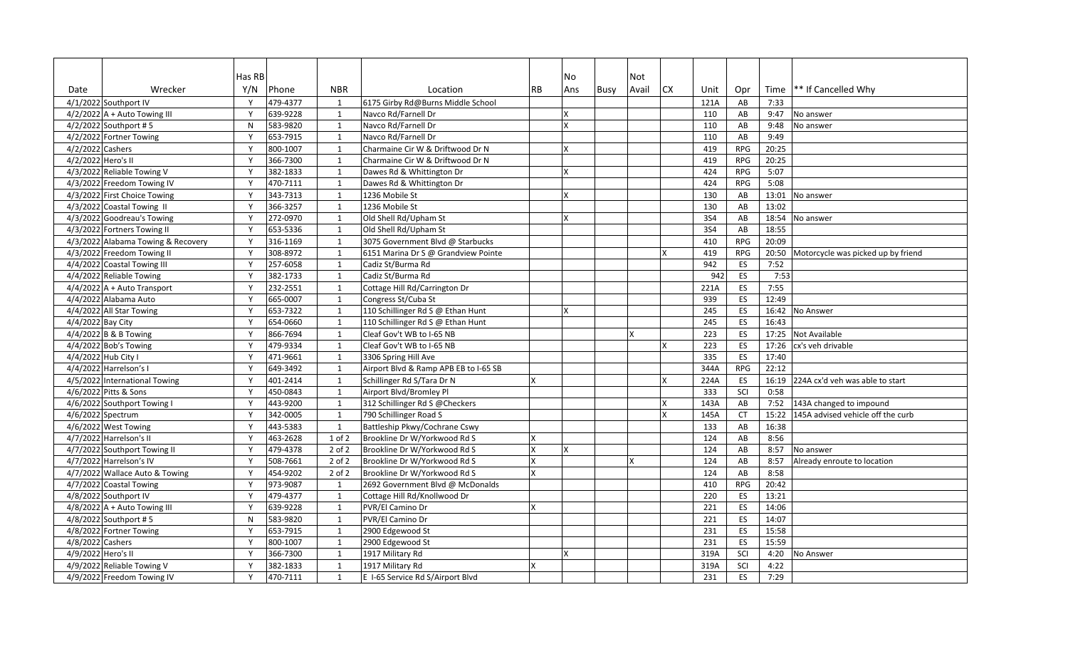|                     |                                    | Has RB       |          |              |                                       |              | No  |             | Not   |     |                  |            |       |                                    |
|---------------------|------------------------------------|--------------|----------|--------------|---------------------------------------|--------------|-----|-------------|-------|-----|------------------|------------|-------|------------------------------------|
| Date                | Wrecker                            | Y/N          | Phone    | <b>NBR</b>   | Location                              | <b>RB</b>    | Ans | <b>Busy</b> | Avail | CX. | Unit             | Opr        |       | Time   ** If Cancelled Why         |
|                     | 4/1/2022 Southport IV              | Y            | 479-4377 | 1            | 6175 Girby Rd@Burns Middle School     |              |     |             |       |     | 121A             | AB         | 7:33  |                                    |
|                     | $4/2/2022$ A + Auto Towing III     | Y            | 639-9228 | 1            | Navco Rd/Farnell Dr                   |              |     |             |       |     | 110              | AB         | 9:47  | No answer                          |
|                     | 4/2/2022 Southport #5              | $\mathsf{N}$ | 583-9820 | 1            | Navco Rd/Farnell Dr                   |              |     |             |       |     | 110              | AB         | 9:48  | No answer                          |
|                     | 4/2/2022 Fortner Towing            | Y            | 653-7915 | 1            | Navco Rd/Farnell Dr                   |              |     |             |       |     | 110              | AB         | 9:49  |                                    |
| 4/2/2022 Cashers    |                                    | Y            | 800-1007 | 1            | Charmaine Cir W & Driftwood Dr N      |              |     |             |       |     | 419              | <b>RPG</b> | 20:25 |                                    |
| 4/2/2022 Hero's II  |                                    | Y            | 366-7300 | 1            | Charmaine Cir W & Driftwood Dr N      |              |     |             |       |     | 419              | <b>RPG</b> | 20:25 |                                    |
|                     | 4/3/2022 Reliable Towing V         | Y            | 382-1833 | 1            | Dawes Rd & Whittington Dr             |              |     |             |       |     | 424              | <b>RPG</b> | 5:07  |                                    |
|                     | 4/3/2022 Freedom Towing IV         | Y            | 470-7111 | $\mathbf{1}$ | Dawes Rd & Whittington Dr             |              |     |             |       |     | 424              | <b>RPG</b> | 5:08  |                                    |
|                     | 4/3/2022 First Choice Towing       | Y            | 343-7313 | 1            | 1236 Mobile St                        |              |     |             |       |     | 130              | AB         | 13:01 | No answer                          |
|                     | 4/3/2022 Coastal Towing II         | Y            | 366-3257 | 1            | 1236 Mobile St                        |              |     |             |       |     | 130              | AB         | 13:02 |                                    |
|                     | 4/3/2022 Goodreau's Towing         | Y            | 272-0970 | $\mathbf{1}$ | Old Shell Rd/Upham St                 |              |     |             |       |     | <b>3S4</b>       | AB         | 18:54 | No answer                          |
|                     | 4/3/2022 Fortners Towing II        | Y            | 653-5336 | 1            | Old Shell Rd/Upham St                 |              |     |             |       |     | <b>3S4</b>       | AB         | 18:55 |                                    |
|                     | 4/3/2022 Alabama Towing & Recovery | Y            | 316-1169 | $\mathbf{1}$ | 3075 Government Blvd @ Starbucks      |              |     |             |       |     | 410              | <b>RPG</b> | 20:09 |                                    |
|                     | 4/3/2022 Freedom Towing II         | Y            | 308-8972 | 1            | 6151 Marina Dr S @ Grandview Pointe   |              |     |             |       |     | 419              | <b>RPG</b> | 20:50 | Motorcycle was picked up by friend |
|                     | 4/4/2022 Coastal Towing III        | Y            | 257-6058 | 1            | Cadiz St/Burma Rd                     |              |     |             |       |     | 942              | ES         | 7:52  |                                    |
|                     | 4/4/2022 Reliable Towing           | Y            | 382-1733 | 1            | Cadiz St/Burma Rd                     |              |     |             |       |     | 942              | ES         | 7:53  |                                    |
|                     | $4/4/2022$ A + Auto Transport      | Y            | 232-2551 | 1            | Cottage Hill Rd/Carrington Dr         |              |     |             |       |     | 221A             | ES         | 7:55  |                                    |
|                     | 4/4/2022 Alabama Auto              | Y            | 665-0007 | $\mathbf{1}$ | Congress St/Cuba St                   |              |     |             |       |     | 939              | ES         | 12:49 |                                    |
|                     | 4/4/2022 All Star Towing           | Y            | 653-7322 | 1            | 110 Schillinger Rd S @ Ethan Hunt     |              |     |             |       |     | 245              | ES         | 16:42 | No Answer                          |
| 4/4/2022 Bay City   |                                    | Y            | 654-0660 | 1            | 110 Schillinger Rd S @ Ethan Hunt     |              |     |             |       |     | 245              | ES         | 16:43 |                                    |
|                     | 4/4/2022 B & B Towing              | Y            | 866-7694 | $\mathbf{1}$ | Cleaf Gov't WB to I-65 NB             |              |     |             |       |     | 223              | ES         | 17:25 | Not Available                      |
|                     | 4/4/2022 Bob's Towing              | Y            | 479-9334 | 1            | Cleaf Gov't WB to I-65 NB             |              |     |             |       | X   | 223              | ES         | 17:26 | cx's veh drivable                  |
| 4/4/2022 Hub City I |                                    | Y            | 471-9661 | 1            | 3306 Spring Hill Ave                  |              |     |             |       |     | 335              | ES         | 17:40 |                                    |
|                     | 4/4/2022 Harrelson's I             | Y            | 649-3492 | 1            | Airport Blvd & Ramp APB EB to I-65 SB |              |     |             |       |     | 344A             | RPG        | 22:12 |                                    |
|                     | 4/5/2022 International Towing      | Y            | 401-2414 | $\mathbf{1}$ | Schillinger Rd S/Tara Dr N            |              |     |             |       |     | 224A             | ES         | 16:19 | 224A cx'd veh was able to start    |
|                     | 4/6/2022 Pitts & Sons              | Y            | 450-0843 | 1            | Airport Blvd/Bromley Pl               |              |     |             |       |     | 333              | SCI        | 0:58  |                                    |
|                     | 4/6/2022 Southport Towing I        | Y            | 443-9200 | 1            | 312 Schillinger Rd S @Checkers        |              |     |             |       | x   | 143A             | AB         | 7:52  | 143A changed to impound            |
| 4/6/2022 Spectrum   |                                    | Y            | 342-0005 | $\mathbf{1}$ | 790 Schillinger Road S                |              |     |             |       |     | 145A             | <b>CT</b>  | 15:22 | 145A advised vehicle off the curb  |
|                     | 4/6/2022 West Towing               | Y            | 443-5383 | $\mathbf{1}$ | Battleship Pkwy/Cochrane Cswy         |              |     |             |       |     | $\overline{133}$ | AB         | 16:38 |                                    |
|                     | 4/7/2022 Harrelson's II            | Y            | 463-2628 | 1 of 2       | Brookline Dr W/Yorkwood Rd S          |              |     |             |       |     | $\frac{124}{ }$  | AB         | 8:56  |                                    |
|                     | 4/7/2022 Southport Towing II       | Y            | 479-4378 | $2$ of $2$   | Brookline Dr W/Yorkwood Rd S          |              | x   |             |       |     | 124              | AB         | 8:57  | No answer                          |
|                     | 4/7/2022 Harrelson's IV            | Y            | 508-7661 | $2$ of $2$   | Brookline Dr W/Yorkwood Rd S          |              |     |             |       |     | 124              | AB         | 8:57  | Already enroute to location        |
|                     | 4/7/2022 Wallace Auto & Towing     | Y            | 454-9202 | $2$ of $2$   | Brookline Dr W/Yorkwood Rd S          |              |     |             |       |     | 124              | AB         | 8:58  |                                    |
|                     | 4/7/2022 Coastal Towing            | Y            | 973-9087 | 1            | 2692 Government Blvd @ McDonalds      |              |     |             |       |     | 410              | <b>RPG</b> | 20:42 |                                    |
|                     | 4/8/2022 Southport IV              | Y            | 479-4377 | $\mathbf{1}$ | Cottage Hill Rd/Knollwood Dr          |              |     |             |       |     | 220              | ES         | 13:21 |                                    |
|                     | $4/8/2022$ A + Auto Towing III     | Y            | 639-9228 | 1            | PVR/El Camino Dr                      | X            |     |             |       |     | 221              | ES         | 14:06 |                                    |
|                     | 4/8/2022 Southport #5              | $\mathsf{N}$ | 583-9820 | 1            | PVR/El Camino Dr                      |              |     |             |       |     | 221              | ES         | 14:07 |                                    |
|                     | 4/8/2022 Fortner Towing            | Y            | 653-7915 | 1            | 2900 Edgewood St                      |              |     |             |       |     | 231              | ES         | 15:58 |                                    |
| 4/8/2022 Cashers    |                                    | Y            | 800-1007 | $\mathbf{1}$ | 2900 Edgewood St                      |              |     |             |       |     | 231              | ES         | 15:59 |                                    |
| 4/9/2022 Hero's II  |                                    | Y            | 366-7300 | 1            | 1917 Military Rd                      |              |     |             |       |     | 319A             | SCI        | 4:20  | No Answer                          |
|                     | 4/9/2022 Reliable Towing V         | Y            | 382-1833 | 1            | 1917 Military Rd                      | $\mathbf{x}$ |     |             |       |     | 319A             | SCI        | 4:22  |                                    |
|                     | 4/9/2022 Freedom Towing IV         | Y            | 470-7111 | 1            | E I-65 Service Rd S/Airport Blvd      |              |     |             |       |     | 231              | ES         | 7:29  |                                    |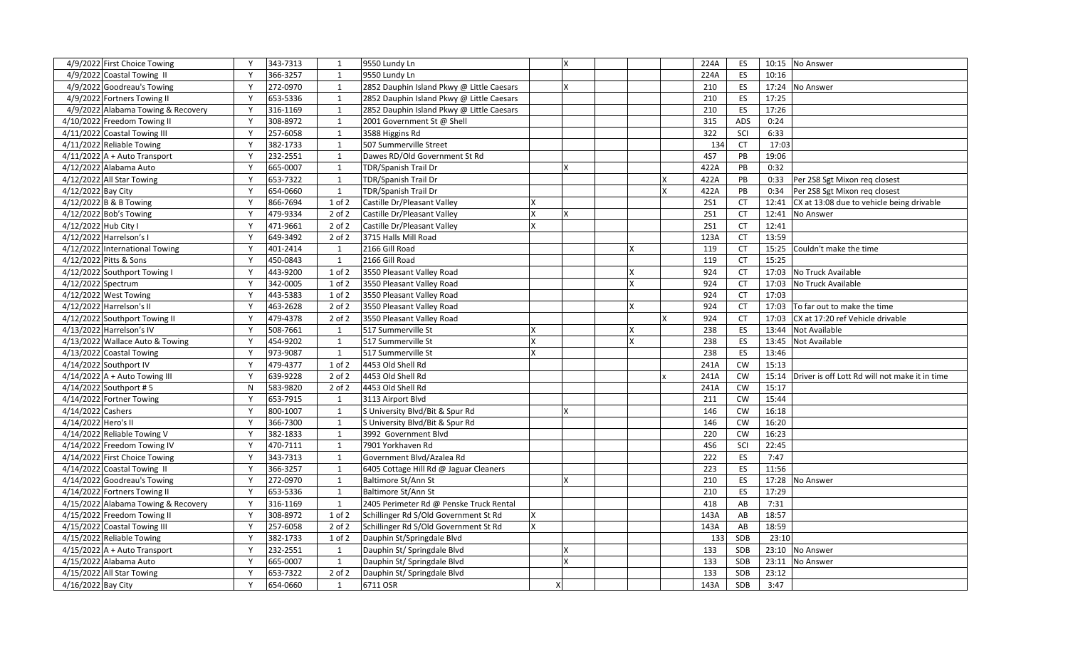|                                 | 4/9/2022 First Choice Towing        | Y            | 343-7313 | 1            | 9550 Lundy Ln                                                      | X |   | 224A             | ES        | 10:15 | No Answer                                      |
|---------------------------------|-------------------------------------|--------------|----------|--------------|--------------------------------------------------------------------|---|---|------------------|-----------|-------|------------------------------------------------|
|                                 | 4/9/2022 Coastal Towing II          | Y            | 366-3257 | 1            | 9550 Lundy Ln                                                      |   |   | 224A             | ES        | 10:16 |                                                |
|                                 | 4/9/2022 Goodreau's Towing          | Y            | 272-0970 | 1            | 2852 Dauphin Island Pkwy @ Little Caesars                          | x |   | 210              | ES        | 17:24 | No Answer                                      |
|                                 | 4/9/2022 Fortners Towing II         | Y            | 653-5336 | $\mathbf{1}$ | 2852 Dauphin Island Pkwy @ Little Caesars                          |   |   | 210              | ES        | 17:25 |                                                |
|                                 | 4/9/2022 Alabama Towing & Recovery  | Y            | 316-1169 | $\mathbf{1}$ | 2852 Dauphin Island Pkwy @ Little Caesars                          |   |   | 210              | ES        | 17:26 |                                                |
|                                 | 4/10/2022 Freedom Towing II         | Y            | 308-8972 | 1            | 2001 Government St @ Shell                                         |   |   | 315              | ADS       | 0:24  |                                                |
|                                 | 4/11/2022 Coastal Towing III        | Y            | 257-6058 | 1            | 3588 Higgins Rd                                                    |   |   | $\overline{322}$ | SCI       | 6:33  |                                                |
|                                 | 4/11/2022 Reliable Towing           | Y            | 382-1733 | 1            | 507 Summerville Street                                             |   |   | 134              | <b>CT</b> | 17:03 |                                                |
|                                 | $4/11/2022$ A + Auto Transport      | Y            | 232-2551 | $\mathbf{1}$ | Dawes RD/Old Government St Rd                                      |   |   | <b>4S7</b>       | PB        | 19:06 |                                                |
|                                 | 4/12/2022 Alabama Auto              | Y            | 665-0007 | $\mathbf{1}$ | TDR/Spanish Trail Dr                                               | X |   | 422A             | PB        | 0:32  |                                                |
|                                 | 4/12/2022 All Star Towing           | Y            | 653-7322 | 1            | TDR/Spanish Trail Dr                                               |   |   | 422A             | PB        | 0:33  | Per 2S8 Sgt Mixon req closest                  |
| 4/12/2022 Bay City              |                                     | Y            | 654-0660 | 1            | TDR/Spanish Trail Dr                                               |   |   | 422A             | PB        | 0:34  | Per 2S8 Sgt Mixon reg closest                  |
|                                 | 4/12/2022 B & B Towing              | Y            | 866-7694 | $1$ of $2$   | Castille Dr/Pleasant Valley                                        |   |   | <b>2S1</b>       | <b>CT</b> | 12:41 | CX at 13:08 due to vehicle being drivable      |
|                                 | 4/12/2022 Bob's Towing              | Y            | 479-9334 | 2 of 2       | Castille Dr/Pleasant Valley<br>x                                   | X |   | <b>2S1</b>       | <b>CT</b> | 12:41 | No Answer                                      |
| 4/12/2022 Hub City I            |                                     | Y            | 471-9661 | 2 of 2       | Castille Dr/Pleasant Valley<br><b>X</b>                            |   |   | <b>2S1</b>       | <b>CT</b> | 12:41 |                                                |
|                                 | 4/12/2022 Harrelson's I             | Y            | 649-3492 | 2 of 2       | 3715 Halls Mill Road                                               |   |   | 123A             | <b>CT</b> | 13:59 |                                                |
|                                 | 4/12/2022 International Towing      | Y            | 401-2414 | 1            | 2166 Gill Road                                                     |   |   | 119              | <b>CT</b> | 15:25 | Couldn't make the time                         |
|                                 | 4/12/2022 Pitts & Sons              | Y            | 450-0843 | 1            | 2166 Gill Road                                                     |   |   | 119              | <b>CT</b> | 15:25 |                                                |
|                                 | 4/12/2022 Southport Towing I        | Y            | 443-9200 | $1$ of $2$   | 3550 Pleasant Valley Road                                          |   | X | 924              | <b>CT</b> | 17:03 | No Truck Available                             |
| $\overline{4/12/2022}$ Spectrum |                                     | Y            | 342-0005 | 1 of 2       | 3550 Pleasant Valley Road                                          |   |   | 924              | <b>CT</b> | 17:03 | No Truck Available                             |
|                                 | 4/12/2022 West Towing               | Y            | 443-5383 | 1 of 2       | 3550 Pleasant Valley Road                                          |   |   | 924              | <b>CT</b> | 17:03 |                                                |
|                                 | 4/12/2022 Harrelson's II            | Y            | 463-2628 | $2$ of $2$   | 3550 Pleasant Valley Road                                          |   |   | 924              | <b>CT</b> | 17:03 | To far out to make the time                    |
|                                 | 4/12/2022 Southport Towing II       | Y            | 479-4378 | $2$ of $2$   | 3550 Pleasant Valley Road                                          |   |   | 924              | <b>CT</b> | 17:03 | CX at 17:20 ref Vehicle drivable               |
|                                 | 4/13/2022 Harrelson's IV            | Y            | 508-7661 | 1            | 517 Summerville St                                                 |   |   | 238              | ES        | 13:44 | Not Available                                  |
|                                 | 4/13/2022 Wallace Auto & Towing     | $\mathbf{v}$ | 454-9202 | $\mathbf{1}$ | 517 Summerville St                                                 |   |   | 238              | ES        | 13:45 | Not Available                                  |
|                                 | 4/13/2022 Coastal Towing            | Y            | 973-9087 | 1            | 517 Summerville St                                                 |   |   | 238              | ES        | 13:46 |                                                |
|                                 | 4/14/2022 Southport IV              | Y            | 479-4377 | $1$ of $2$   | 4453 Old Shell Rd                                                  |   |   | 241A             | <b>CW</b> | 15:13 |                                                |
|                                 | $4/14/2022$ A + Auto Towing III     | $\mathsf{v}$ | 639-9228 | $2$ of $2$   | 4453 Old Shell Rd                                                  |   |   | 241A             | <b>CW</b> | 15:14 | Driver is off Lott Rd will not make it in time |
|                                 | 4/14/2022 Southport #5              | N            | 583-9820 | $2$ of $2$   | 4453 Old Shell Rd                                                  |   |   | 241A             | <b>CW</b> | 15:17 |                                                |
|                                 | 4/14/2022 Fortner Towing            | Y            | 653-7915 | 1            | 3113 Airport Blvd                                                  |   |   | 211              | <b>CW</b> | 15:44 |                                                |
| 4/14/2022 Cashers               |                                     | Y            | 800-1007 | 1            | S University Blvd/Bit & Spur Rd                                    | X |   | 146              | <b>CW</b> | 16:18 |                                                |
| 4/14/2022 Hero's II             |                                     | Y            | 366-7300 | 1            | S University Blvd/Bit & Spur Rd                                    |   |   | 146              | <b>CW</b> | 16:20 |                                                |
|                                 | 4/14/2022 Reliable Towing V         | $\mathsf{v}$ | 382-1833 | $\mathbf{1}$ | 3992 Government Blvd                                               |   |   | 220              | <b>CW</b> | 16:23 |                                                |
|                                 | 4/14/2022 Freedom Towing IV         | Y            | 470-7111 | $\mathbf{1}$ | 7901 Yorkhaven Rd                                                  |   |   | 456              | SCI       | 22:45 |                                                |
|                                 | 4/14/2022 First Choice Towing       | Y            | 343-7313 | 1            | Government Blvd/Azalea Rd                                          |   |   | $\overline{222}$ | ES        | 7:47  |                                                |
|                                 | 4/14/2022 Coastal Towing II         | Y            | 366-3257 | 1            | 6405 Cottage Hill Rd @ Jaguar Cleaners                             |   |   | 223              | ES        | 11:56 |                                                |
|                                 | 4/14/2022 Goodreau's Towing         | Y            | 272-0970 | $\mathbf{1}$ | Baltimore St/Ann St                                                | x |   | 210              | ES        | 17:28 | No Answer                                      |
|                                 | 4/14/2022 Fortners Towing II        | Y            | 653-5336 | $\mathbf{1}$ | Baltimore St/Ann St                                                |   |   | 210              | ES        | 17:29 |                                                |
|                                 | 4/15/2022 Alabama Towing & Recovery | Y            | 316-1169 | 1            | 2405 Perimeter Rd @ Penske Truck Rental                            |   |   | 418              | AB        | 7:31  |                                                |
|                                 | 4/15/2022 Freedom Towing II         | Y            | 308-8972 | 1 of 2       | Schillinger Rd S/Old Government St Rd<br>$\boldsymbol{\mathsf{x}}$ |   |   | 143A             | AB        | 18:57 |                                                |
|                                 | 4/15/2022 Coastal Towing III        | Y            | 257-6058 | $2$ of $2$   | Schillinger Rd S/Old Government St Rd                              |   |   | 143A             | AB        | 18:59 |                                                |
|                                 | 4/15/2022 Reliable Towing           | Y            | 382-1733 | 1 of 2       | Dauphin St/Springdale Blvd                                         |   |   | 133              | SDB       | 23:10 |                                                |
|                                 | $4/15/2022$ A + Auto Transport      | Y            | 232-2551 | 1            | Dauphin St/ Springdale Blvd                                        | X |   | 133              | SDB       | 23:10 | No Answer                                      |
|                                 | 4/15/2022 Alabama Auto              | Y            | 665-0007 | 1            | Dauphin St/ Springdale Blvd                                        | X |   | 133              | SDB       | 23:11 | No Answer                                      |
|                                 | 4/15/2022 All Star Towing           | Y            | 653-7322 | $2$ of $2$   | Dauphin St/ Springdale Blvd                                        |   |   | 133              | SDB       | 23:12 |                                                |
| 4/16/2022 Bay City              |                                     | Y            | 654-0660 | $\mathbf{1}$ | 6711 OSR                                                           |   |   | 143A             | SDB       | 3:47  |                                                |
|                                 |                                     |              |          |              |                                                                    |   |   |                  |           |       |                                                |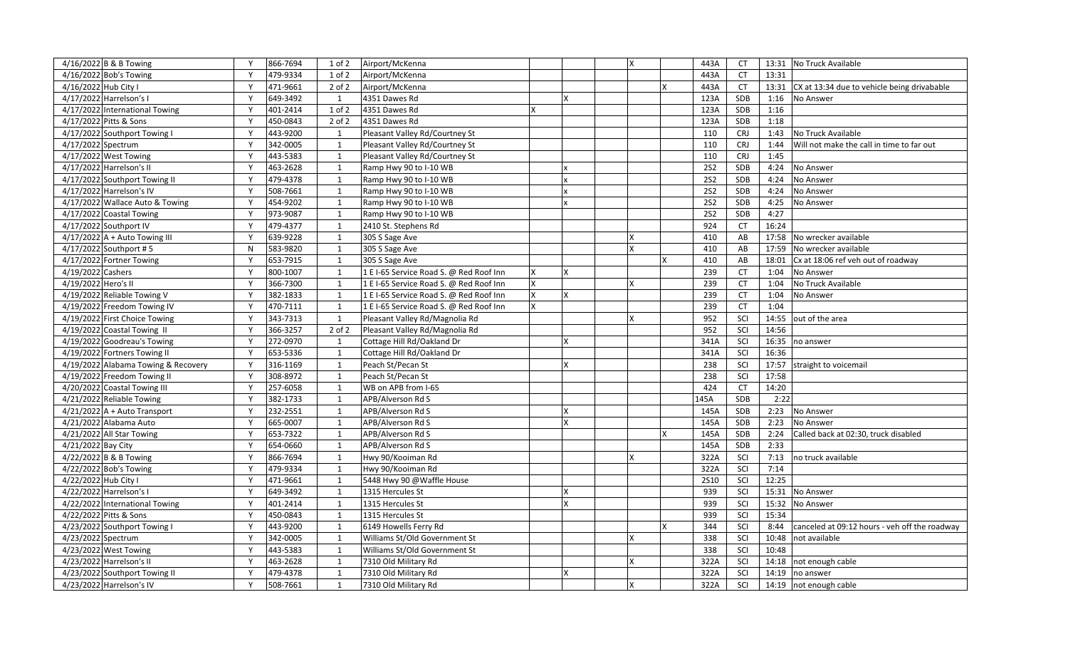| 4/16/2022 B & B Towing              | Y | 866-7694 | 1 of 2       | Airport/McKenna                         |    | $\overline{\mathsf{x}}$ | 443A        | CT         |       | 13:31 No Truck Available                      |
|-------------------------------------|---|----------|--------------|-----------------------------------------|----|-------------------------|-------------|------------|-------|-----------------------------------------------|
| 4/16/2022 Bob's Towing              | Y | 479-9334 | 1 of 2       | Airport/McKenna                         |    |                         | 443A        | <b>CT</b>  | 13:31 |                                               |
| 4/16/2022 Hub City I                | Y | 471-9661 | $2$ of $2$   | Airport/McKenna                         |    |                         | 443A        | <b>CT</b>  | 13:31 | CX at 13:34 due to vehicle being drivabable   |
| 4/17/2022 Harrelson's I             | Y | 649-3492 | 1            | 4351 Dawes Rd                           | X  |                         | 123A        | SDB        | 1:16  | No Answer                                     |
| 4/17/2022 International Towing      | Y | 401-2414 | $1$ of $2$   | 4351 Dawes Rd                           |    |                         | 123A        | SDB        | 1:16  |                                               |
| 4/17/2022 Pitts & Sons              | Y | 450-0843 | 2 of 2       | 4351 Dawes Rd                           |    |                         | 123A        | SDB        | 1:18  |                                               |
| 4/17/2022 Southport Towing I        | Y | 443-9200 | 1            | Pleasant Valley Rd/Courtney St          |    |                         | 110         | <b>CRJ</b> | 1:43  | No Truck Available                            |
| 4/17/2022 Spectrum                  | Y | 342-0005 | 1            | Pleasant Valley Rd/Courtney St          |    |                         | 110         | <b>CRJ</b> | 1:44  | Will not make the call in time to far out     |
| 4/17/2022 West Towing               | Y | 443-5383 | $\mathbf{1}$ | Pleasant Valley Rd/Courtney St          |    |                         | 110         | CRJ        | 1:45  |                                               |
| 4/17/2022 Harrelson's II            | Y | 463-2628 | 1            | Ramp Hwy 90 to I-10 WB                  |    |                         | 252         | SDB        | 4:24  | No Answer                                     |
| 4/17/2022 Southport Towing II       | Y | 479-4378 | 1            | Ramp Hwy 90 to I-10 WB                  |    |                         | 252         | SDB        | 4:24  | No Answer                                     |
| 4/17/2022 Harrelson's IV            | Y | 508-7661 | 1            | Ramp Hwy 90 to I-10 WB                  |    |                         | <b>2S2</b>  | SDB        | 4:24  | No Answer                                     |
| 4/17/2022 Wallace Auto & Towing     | Y | 454-9202 | $\mathbf{1}$ | Ramp Hwy 90 to I-10 WB                  |    |                         | <b>2S2</b>  | SDB        | 4:25  | No Answer                                     |
| 4/17/2022 Coastal Towing            | Y | 973-9087 | 1            | Ramp Hwy 90 to I-10 WB                  |    |                         | <b>2S2</b>  | SDB        | 4:27  |                                               |
| 4/17/2022 Southport IV              | Y | 479-4377 | 1            | 2410 St. Stephens Rd                    |    |                         | 924         | <b>CT</b>  | 16:24 |                                               |
| 4/17/2022 A + Auto Towing III       | Y | 639-9228 | 1            | 305 S Sage Ave                          |    | $\mathbf x$             | 410         | AB         | 17:58 | No wrecker available                          |
| 4/17/2022 Southport #5              | N | 583-9820 | $\mathbf{1}$ | 305 S Sage Ave                          |    |                         | 410         | AB         | 17:59 | No wrecker available                          |
| 4/17/2022 Fortner Towing            | Y | 653-7915 | 1            | 305 S Sage Ave                          |    |                         | 410         | AB         | 18:01 | Cx at 18:06 ref veh out of roadway            |
| 4/19/2022 Cashers                   | Y | 800-1007 | $\mathbf{1}$ | 1 E I-65 Service Road S. @ Red Roof Inn | X  |                         | 239         | <b>CT</b>  | 1:04  | No Answer                                     |
| 4/19/2022 Hero's II                 | Y | 366-7300 | 1            | 1 E I-65 Service Road S. @ Red Roof Inn |    |                         | 239         | <b>CT</b>  | 1:04  | No Truck Available                            |
| 4/19/2022 Reliable Towing V         | Y | 382-1833 | 1            | 1 E I-65 Service Road S. @ Red Roof Inn | X  |                         | 239         | <b>CT</b>  | 1:04  | No Answer                                     |
| 4/19/2022 Freedom Towing IV         | Y | 470-7111 | 1            | 1 E I-65 Service Road S. @ Red Roof Inn |    |                         | 239         | <b>CT</b>  | 1:04  |                                               |
| 4/19/2022 First Choice Towing       | Y | 343-7313 | 1            | Pleasant Valley Rd/Magnolia Rd          |    | X                       | 952         | SCI        | 14:55 | out of the area                               |
| 4/19/2022 Coastal Towing II         | Y | 366-3257 | 2 of 2       | Pleasant Valley Rd/Magnolia Rd          |    |                         | 952         | SCI        | 14:56 |                                               |
| 4/19/2022 Goodreau's Towing         | Y | 272-0970 | 1            | Cottage Hill Rd/Oakland Dr              | X  |                         | 341A        | SCI        | 16:35 | no answer                                     |
| 4/19/2022 Fortners Towing II        | Y | 653-5336 | $\mathbf{1}$ | Cottage Hill Rd/Oakland Dr              |    |                         | 341A        | SCI        | 16:36 |                                               |
| 4/19/2022 Alabama Towing & Recovery | Y | 316-1169 | 1            | Peach St/Pecan St                       | X  |                         | 238         | SCI        | 17:57 | straight to voicemail                         |
| 4/19/2022 Freedom Towing II         | Y | 308-8972 | 1            | Peach St/Pecan St                       |    |                         | 238         | SCI        | 17:58 |                                               |
| 4/20/2022 Coastal Towing III        | Y | 257-6058 | 1            | WB on APB from I-65                     |    |                         | 424         | <b>CT</b>  | 14:20 |                                               |
| 4/21/2022 Reliable Towing           | Y | 382-1733 | $\mathbf{1}$ | APB/Alverson Rd S                       |    |                         | 145A        | SDB        | 2:22  |                                               |
| $4/21/2022$ A + Auto Transport      | Y | 232-2551 | 1            | APB/Alverson Rd S                       | ΙX |                         | 145A        | SDB        | 2:23  | No Answer                                     |
| 4/21/2022 Alabama Auto              | Y | 665-0007 | 1            | APB/Alverson Rd S                       | X  |                         | 145A        | SDB        | 2:23  | No Answer                                     |
| 4/21/2022 All Star Towing           | Y | 653-7322 | 1            | APB/Alverson Rd S                       |    |                         | 145A        | SDB        | 2:24  | Called back at 02:30, truck disabled          |
| 4/21/2022 Bay City                  | Y | 654-0660 | $\mathbf{1}$ | APB/Alverson Rd S                       |    |                         | 145A        | <b>SDB</b> | 2:33  |                                               |
| 4/22/2022 B & B Towing              | Y | 866-7694 | 1            | Hwy 90/Kooiman Rd                       |    | X                       | 322A        | SCI        | 7:13  | no truck available                            |
| 4/22/2022 Bob's Towing              | Y | 479-9334 | 1            | Hwy 90/Kooiman Rd                       |    |                         | 322A        | SCI        | 7:14  |                                               |
| 4/22/2022 Hub City I                | Y | 471-9661 | 1            | 5448 Hwy 90 @Waffle House               |    |                         | <b>2S10</b> | SCI        | 12:25 |                                               |
| 4/22/2022 Harrelson's I             | Y | 649-3492 | $\mathbf{1}$ | 1315 Hercules St                        |    |                         | 939         | SCI        | 15:31 | No Answer                                     |
| 4/22/2022 International Towing      | Y | 401-2414 | 1            | 1315 Hercules St                        |    |                         | 939         | SCI        | 15:32 | No Answer                                     |
| 4/22/2022 Pitts & Sons              | Y | 450-0843 | 1            | 1315 Hercules St                        |    |                         | 939         | SCI        | 15:34 |                                               |
| 4/23/2022 Southport Towing I        | Y | 443-9200 | 1            | 6149 Howells Ferry Rd                   |    |                         | 344         | SCI        | 8:44  | canceled at 09:12 hours - veh off the roadway |
| 4/23/2022 Spectrum                  | Y | 342-0005 | $\mathbf{1}$ | Williams St/Old Government St           |    |                         | 338         | SCI        | 10:48 | not available                                 |
| 4/23/2022 West Towing               | Y | 443-5383 | 1            | Williams St/Old Government St           |    |                         | 338         | SCI        | 10:48 |                                               |
| 4/23/2022 Harrelson's II            | Y | 463-2628 | 1            | 7310 Old Military Rd                    |    |                         | 322A        | SCI        | 14:18 | not enough cable                              |
| 4/23/2022 Southport Towing II       | Y | 479-4378 | 1            | 7310 Old Military Rd                    | X  |                         | 322A        | SCI        | 14:19 | no answer                                     |
| 4/23/2022 Harrelson's IV            | Y | 508-7661 | 1            | 7310 Old Military Rd                    |    | X                       | 322A        | SCI        |       | 14:19 not enough cable                        |
|                                     |   |          |              |                                         |    |                         |             |            |       |                                               |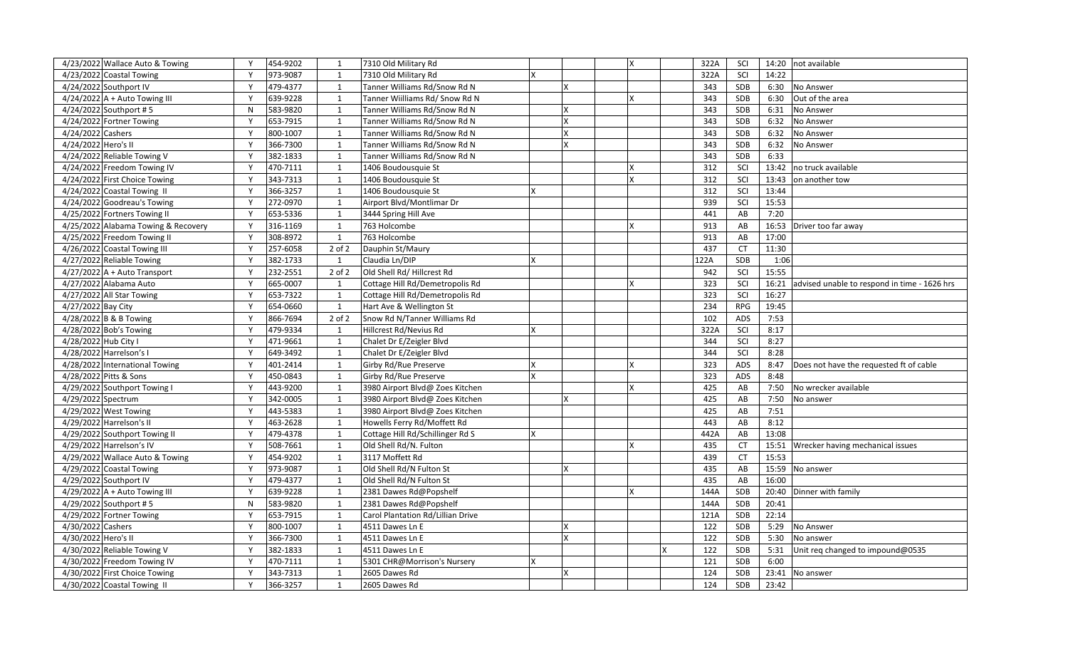|                      | 4/23/2022 Wallace Auto & Towing     | Y            | 454-9202 | 1            | 7310 Old Military Rd              |    | X | 322A | SCI        | 14:20 | not available                                |
|----------------------|-------------------------------------|--------------|----------|--------------|-----------------------------------|----|---|------|------------|-------|----------------------------------------------|
|                      | 4/23/2022 Coastal Towing            | Y            | 973-9087 | 1            | 7310 Old Military Rd              |    |   | 322A | SCI        | 14:22 |                                              |
|                      | 4/24/2022 Southport IV              | Y            | 479-4377 | 1            | Tanner Williams Rd/Snow Rd N      | X. |   | 343  | SDB        | 6:30  | No Answer                                    |
|                      | $4/24/2022$ A + Auto Towing III     | Y            | 639-9228 | 1            | Tanner Wiilliams Rd/ Snow Rd N    |    | X | 343  | SDB        | 6:30  | Out of the area                              |
|                      | 4/24/2022 Southport #5              | N            | 583-9820 | $\mathbf{1}$ | Tanner Williams Rd/Snow Rd N      | x  |   | 343  | SDB        | 6:31  | No Answer                                    |
|                      | 4/24/2022 Fortner Towing            | Y            | 653-7915 | $\mathbf{1}$ | Tanner Williams Rd/Snow Rd N      | X  |   | 343  | SDB        | 6:32  | No Answer                                    |
| 4/24/2022 Cashers    |                                     | Y            | 800-1007 | $\mathbf{1}$ | Tanner Williams Rd/Snow Rd N      | x  |   | 343  | SDB        | 6:32  | No Answer                                    |
| 4/24/2022 Hero's II  |                                     | Y            | 366-7300 | 1            | Tanner Williams Rd/Snow Rd N      | x  |   | 343  | SDB        | 6:32  | No Answer                                    |
|                      | 4/24/2022 Reliable Towing V         | $\mathsf{v}$ | 382-1833 | $\mathbf{1}$ | Tanner Williams Rd/Snow Rd N      |    |   | 343  | SDB        | 6:33  |                                              |
|                      | 4/24/2022 Freedom Towing IV         | Y            | 470-7111 | $\mathbf{1}$ | 1406 Boudousquie St               |    |   | 312  | SCI        | 13:42 | no truck available                           |
|                      | 4/24/2022 First Choice Towing       | Y            | 343-7313 | 1            | 1406 Boudousquie St               |    | X | 312  | SCI        | 13:43 | on another tow                               |
|                      | 4/24/2022 Coastal Towing II         | Y            | 366-3257 | $\mathbf{1}$ | 1406 Boudousquie St               |    |   | 312  | SCI        | 13:44 |                                              |
|                      | 4/24/2022 Goodreau's Towing         | $\mathsf{v}$ | 272-0970 | $\mathbf{1}$ | Airport Blvd/Montlimar Dr         |    |   | 939  | SCI        | 15:53 |                                              |
|                      | 4/25/2022 Fortners Towing II        | Y            | 653-5336 | $\mathbf{1}$ | 3444 Spring Hill Ave              |    |   | 441  | AB         | 7:20  |                                              |
|                      | 4/25/2022 Alabama Towing & Recovery | Y            | 316-1169 | 1            | 763 Holcombe                      |    | X | 913  | AB         | 16:53 | Driver too far away                          |
|                      | 4/25/2022 Freedom Towing II         | Y            | 308-8972 | 1            | 763 Holcombe                      |    |   | 913  | AB         | 17:00 |                                              |
|                      | 4/26/2022 Coastal Towing III        | Y            | 257-6058 | $2$ of $2$   | Dauphin St/Maury                  |    |   | 437  | <b>CT</b>  | 11:30 |                                              |
|                      | 4/27/2022 Reliable Towing           | Y            | 382-1733 | 1            | Claudia Ln/DIP                    |    |   | 122A | SDB        | 1:06  |                                              |
|                      | $4/27/2022$ A + Auto Transport      | Y            | 232-2551 | $2$ of $2$   | Old Shell Rd/ Hillcrest Rd        |    |   | 942  | SCI        | 15:55 |                                              |
|                      | 4/27/2022 Alabama Auto              | Y            | 665-0007 | 1            | Cottage Hill Rd/Demetropolis Rd   |    | x | 323  | SCI        | 16:21 | advised unable to respond in time - 1626 hrs |
|                      | 4/27/2022 All Star Towing           | $\mathsf{v}$ | 653-7322 | $\mathbf{1}$ | Cottage Hill Rd/Demetropolis Rd   |    |   | 323  | SCI        | 16:27 |                                              |
| 4/27/2022 Bay City   |                                     | Y            | 654-0660 | $\mathbf{1}$ | Hart Ave & Wellington St          |    |   | 234  | <b>RPG</b> | 19:45 |                                              |
|                      | 4/28/2022 B & B Towing              | Y            | 866-7694 | $2$ of $2$   | Snow Rd N/Tanner Williams Rd      |    |   | 102  | ADS        | 7:53  |                                              |
|                      | 4/28/2022 Bob's Towing              | Y            | 479-9334 | 1            | Hillcrest Rd/Nevius Rd            |    |   | 322A | SCI        | 8:17  |                                              |
| 4/28/2022 Hub City I |                                     | $\mathsf{v}$ | 471-9661 | $\mathbf{1}$ | Chalet Dr E/Zeigler Blvd          |    |   | 344  | SCI        | 8:27  |                                              |
|                      | 4/28/2022 Harrelson's I             | Y            | 649-3492 | $\mathbf{1}$ | Chalet Dr E/Zeigler Blvd          |    |   | 344  | SCI        | 8:28  |                                              |
|                      | 4/28/2022 International Towing      | Y            | 401-2414 | 1            | Girby Rd/Rue Preserve             |    | X | 323  | ADS        | 8:47  | Does not have the requested ft of cable      |
|                      | 4/28/2022 Pitts & Sons              | Y            | 450-0843 | $\mathbf{1}$ | Girby Rd/Rue Preserve             |    |   | 323  | ADS        | 8:48  |                                              |
|                      | 4/29/2022 Southport Towing I        | $\mathsf{v}$ | 443-9200 | $\mathbf{1}$ | 3980 Airport Blvd@ Zoes Kitchen   |    | x | 425  | AB         | 7:50  | No wrecker available                         |
| 4/29/2022 Spectrum   |                                     | Y            | 342-0005 | 1            | 3980 Airport Blvd@ Zoes Kitchen   | X  |   | 425  | AB         | 7:50  | No answer                                    |
|                      | 4/29/2022 West Towing               | Y            | 443-5383 | 1            | 3980 Airport Blvd@ Zoes Kitchen   |    |   | 425  | AB         | 7:51  |                                              |
|                      | 4/29/2022 Harrelson's II            | Y            | 463-2628 | 1            | Howells Ferry Rd/Moffett Rd       |    |   | 443  | AB         | 8:12  |                                              |
|                      | 4/29/2022 Southport Towing II       | Y            | 479-4378 | $\mathbf{1}$ | Cottage Hill Rd/Schillinger Rd S  |    |   | 442A | AB         | 13:08 |                                              |
|                      | 4/29/2022 Harrelson's IV            | Y            | 508-7661 | 1            | Old Shell Rd/N. Fulton            |    | X | 435  | <b>CT</b>  | 15:51 | Wrecker having mechanical issues             |
|                      | 4/29/2022 Wallace Auto & Towing     | Y            | 454-9202 | 1            | 3117 Moffett Rd                   |    |   | 439  | <b>CT</b>  | 15:53 |                                              |
|                      | 4/29/2022 Coastal Towing            | Y            | 973-9087 | 1            | Old Shell Rd/N Fulton St          | x  |   | 435  | AB         | 15:59 | No answer                                    |
|                      | 4/29/2022 Southport IV              | $\mathsf{v}$ | 479-4377 | $\mathbf{1}$ | Old Shell Rd/N Fulton St          |    |   | 435  | AB         | 16:00 |                                              |
|                      | 4/29/2022 A + Auto Towing III       | Y            | 639-9228 | $\mathbf{1}$ | 2381 Dawes Rd@Popshelf            |    | x | 144A | SDB        | 20:40 | Dinner with family                           |
|                      | 4/29/2022 Southport #5              | ${\sf N}$    | 583-9820 | $\mathbf{1}$ | 2381 Dawes Rd@Popshelf            |    |   | 144A | SDB        | 20:41 |                                              |
|                      | 4/29/2022 Fortner Towing            | Y            | 653-7915 | 1            | Carol Plantation Rd/Lillian Drive |    |   | 121A | SDB        | 22:14 |                                              |
| 4/30/2022 Cashers    |                                     | $\mathsf{v}$ | 800-1007 | $\mathbf{1}$ | 4511 Dawes Ln E                   | x  |   | 122  | SDB        | 5:29  | No Answer                                    |
| 4/30/2022 Hero's II  |                                     | Y            | 366-7300 | $\mathbf{1}$ | 4511 Dawes Ln E                   | x  |   | 122  | SDB        | 5:30  | No answer                                    |
|                      | 4/30/2022 Reliable Towing V         | Y            | 382-1833 | 1            | 4511 Dawes Ln E                   |    |   | 122  | SDB        | 5:31  | Unit req changed to impound@0535             |
|                      | 4/30/2022 Freedom Towing IV         | Y            | 470-7111 | 1            | 5301 CHR@Morrison's Nursery       |    |   | 121  | <b>SDB</b> | 6:00  |                                              |
|                      | 4/30/2022 First Choice Towing       | $\mathsf{v}$ | 343-7313 | $\mathbf{1}$ | 2605 Dawes Rd                     | x  |   | 124  | SDB        | 23:41 | No answer                                    |
|                      | 4/30/2022 Coastal Towing II         | Y            | 366-3257 | $\mathbf{1}$ | 2605 Dawes Rd                     |    |   | 124  | SDB        | 23:42 |                                              |
|                      |                                     |              |          |              |                                   |    |   |      |            |       |                                              |